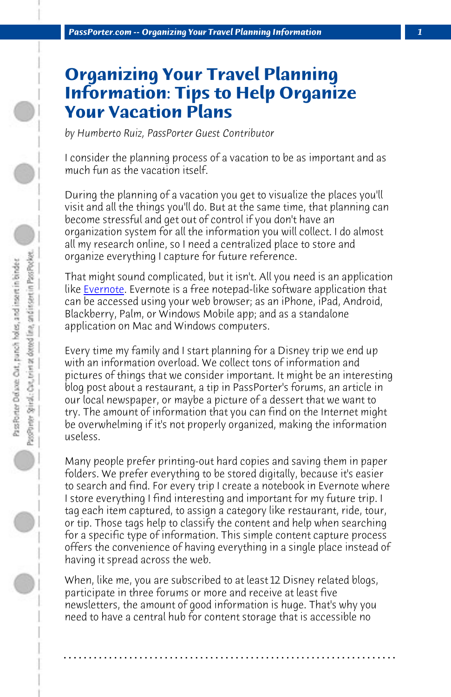*PassPorter.com -- Organizing Your Travel Planning Information 1*

## **O[rganiz](http://evernote.com/)ing Your Travel Planning Information: Tips to Help Organize Your Vacation Plans**

*by Humberto Ruiz, PassPorter Guest Contributor*

I consider the planning process of a vacation to be as important and as much fun as the vacation itself.

During the planning of a vacation you get to visualize the places you'll visit and all the things you'll do. But at the same time, that planning can become stressful and get out of control if you don't have an organization system for all the information you will collect. I do almost all my research online, so I need a centralized place to store and organize everything I capture for future reference.

That might sound complicated, but it isn't. All you need is an application like Evernote. Evernote is a free notepad-like software application that can be accessed using your web browser; as an iPhone, iPad, Android, Blackberry, Palm, or Windows Mobile app; and as a standalone application on Mac and Windows computers.

Every time my family and I start planning for a Disney trip we end up with an information overload. We collect tons of information and pictures of things that we consider important. It might be an interesting blog post about a restaurant, a tip in PassPorter's forums, an article in our local newspaper, or maybe a picture of a dessert that we want to try. The amount of information that you can find on the Internet might be overwhelming if it's not properly organized, making the information useless.

Many people prefer printing-out hard copies and saving them in paper folders. We prefer everything to be stored digitally, because it's easier to search and find. For every trip I create a notebook in Evernote where I store everything I find interesting and important for my future trip. I tag each item captured, to assign a category like restaurant, ride, tour, or tip. Those tags help to classify the content and help when searching for a specific type of information. This simple content capture process offers the convenience of having everything in a single place instead of having it spread across the web.

When, like me, you are subscribed to at least 12 Disney related blogs, participate in three forums or more and receive at least five newsletters, the amount of good information is huge. That's why you need to have a central hub for content storage that is accessible no

**. . . . . . . . . . . . . . . . . . . . . . . . . . . . . . . . . . . . . . . . . . . . . . . . . . . . . . . . . . . . . . . . . .**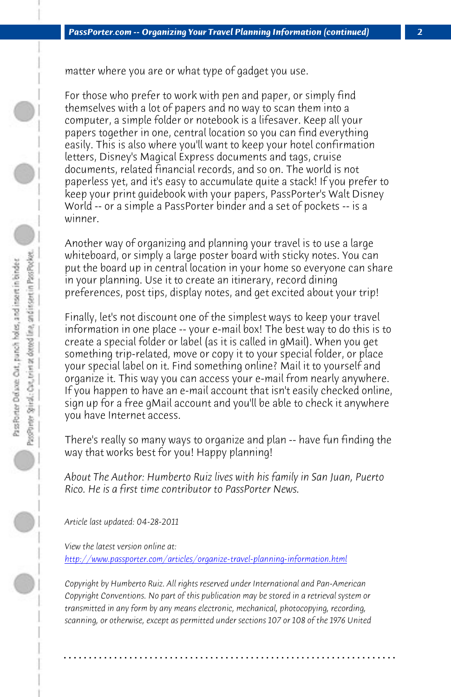*PassPorter.com -- Organizing Your Travel Planning Information (continued) 2*

matter where you are or what type of gadget you use.

For those who prefer to work with pen and paper, or simply find themselves with a lot of papers and no way to scan them into a computer, a simple folder or notebook is a lifesaver. Keep all your papers together in one, central location so you can find everything easily. This is also where you'll want to keep your hotel confirmation letters, Disney's Magical Express documents and tags, cruise documents, related financial records, and so on. The world is not paperless yet, and it's easy to accumulate quite a stack! If you prefer to keep your print guidebook with your papers, PassPorter's Walt Disney World -- or a simple a PassPorter binder and a set of pockets -- is a winner.

Another way of organizing and planning your travel is to use a large whiteboard, or simply a large poster board with sticky notes. You can put the board up in central location in your home so everyone can share in your planning. Use it to create an itinerary, record dining preferences, post tips, display notes, and get excited about your trip!

Finally, let's not discount one of the simplest ways to keep your travel information in one place -- your e-mail box! The best way to do this is to create a special folder or label (as it is called in gMail). When you get [something trip-related, move or copy it to your special folder, o](http://www.passporter.com/articles/organize-travel-planning-information.php)r place your special label on it. Find something online? Mail it to yourself and organize it. This way you can access your e-mail from nearly anywhere. If you happen to have an e-mail account that isn't easily checked online, sign up for a free gMail account and you'll be able to check it anywhere you have Internet access.

There's really so many ways to organize and plan -- have fun finding the way that works best for you! Happy planning!

*About The Author: Humberto Ruiz lives with his family in San Juan, Puerto Rico. He is a first time contributor to PassPorter News.*

*Article last updated: 04-28-2011*

*View the latest version online at: http://www.passporter.com/articles/organize-travel-planning-information.html*

*Copyright by Humberto Ruiz. All rights reserved under International and Pan-American Copyright Conventions. No part of this publication may be stored in a retrieval system or transmitted in any form by any means electronic, mechanical, photocopying, recording, scanning, or otherwise, except as permitted under sections 107 or 108 of the 1976 United*

**. . . . . . . . . . . . . . . . . . . . . . . . . . . . . . . . . . . . . . . . . . . . . . . . . . . . . . . . . . . . . . . . . .**